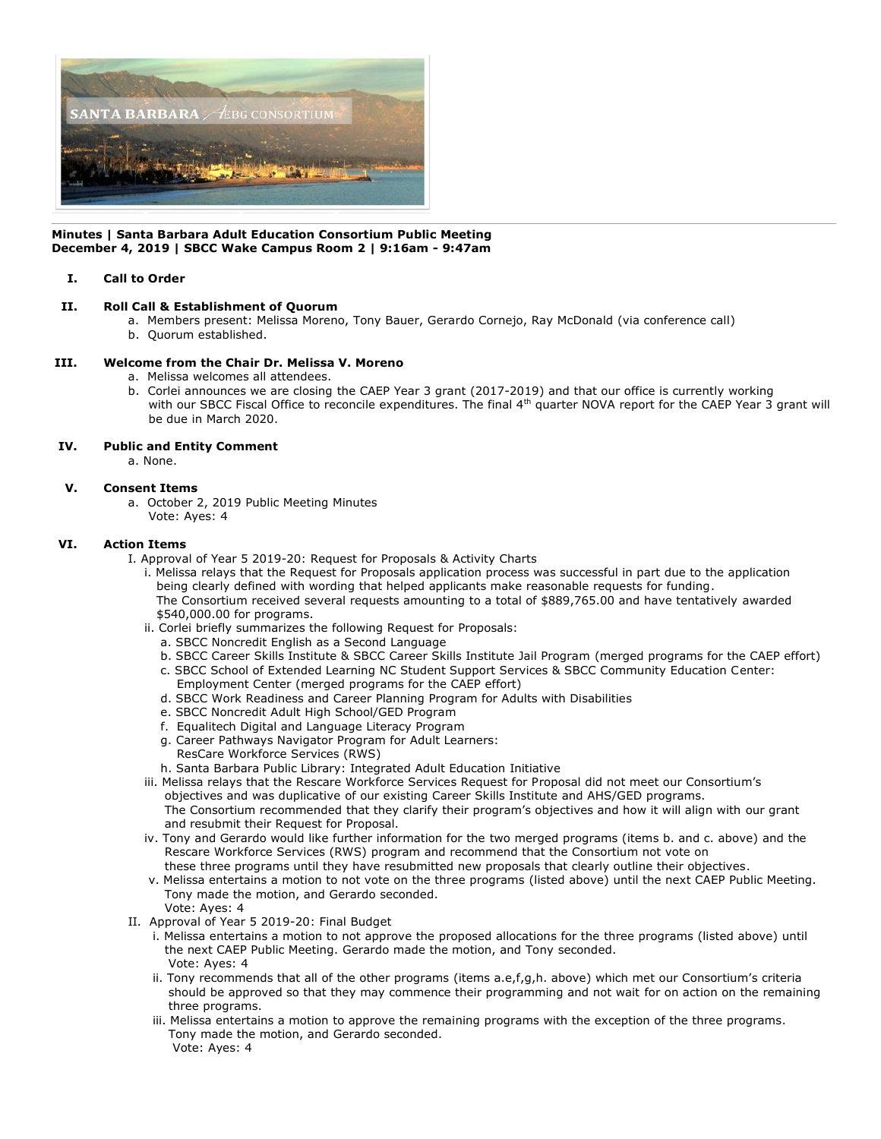

#### **Minutes | Santa Barbara Adult Education Consortium Public Meeting December 4, 2019 | SBCC Wake Campus Room 2 | 9:16am - 9:47am**

## **I. Call to Order**

## **II. Roll Call & Establishment of Quorum**

 a. Members present: Melissa Moreno, Tony Bauer, Gerardo Cornejo, Ray McDonald (via conference call) b. Quorum established.

# **III. Welcome from the Chair Dr. Melissa V. Moreno**

- a. Melissa welcomes all attendees.
- b. Corlei announces we are closing the CAEP Year 3 grant (2017-2019) and that our office is currently working with our SBCC Fiscal Office to reconcile expenditures. The final 4<sup>th</sup> quarter NOVA report for the CAEP Year 3 grant will be due in March 2020.

# **IV. Public and Entity Comment**

a. None.

## **V. Consent Items**

 a. October 2, 2019 Public Meeting Minutes Vote: Ayes: 4

## **VI. Action Items**

- I. Approval of Year 5 2019-20: Request for Proposals & Activity Charts
	- i. Melissa relays that the Request for Proposals application process was successful in part due to the application being clearly defined with wording that helped applicants make reasonable requests for funding. The Consortium received several requests amounting to a total of \$889,765.00 and have tentatively awarded \$540,000.00 for programs.
	- ii. Corlei briefly summarizes the following Request for Proposals:
		- a. SBCC Noncredit English as a Second Language
		- b. SBCC Career Skills Institute & SBCC Career Skills Institute Jail Program (merged programs for the CAEP effort) c. SBCC School of Extended Learning NC Student Support Services & SBCC Community Education Center:
		- Employment Center (merged programs for the CAEP effort)
		- d. SBCC Work Readiness and Career Planning Program for Adults with Disabilities
		- e. SBCC Noncredit Adult High School/GED Program
		- f. Equalitech Digital and Language Literacy Program
		- g. Career Pathways Navigator Program for Adult Learners: ResCare Workforce Services (RWS)
		- h. Santa Barbara Public Library: Integrated Adult Education Initiative
	- iii. Melissa relays that the Rescare Workforce Services Request for Proposal did not meet our Consortium's objectives and was duplicative of our existing Career Skills Institute and AHS/GED programs. The Consortium recommended that they clarify their program's objectives and how it will align with our grant and resubmit their Request for Proposal.
	- iv. Tony and Gerardo would like further information for the two merged programs (items b. and c. above) and the Rescare Workforce Services (RWS) program and recommend that the Consortium not vote on these three programs until they have resubmitted new proposals that clearly outline their objectives.
	- v. Melissa entertains a motion to not vote on the three programs (listed above) until the next CAEP Public Meeting. Tony made the motion, and Gerardo seconded. Vote: Ayes: 4
- II. Approval of Year 5 2019-20: Final Budget
	- i. Melissa entertains a motion to not approve the proposed allocations for the three programs (listed above) until the next CAEP Public Meeting. Gerardo made the motion, and Tony seconded. Vote: Ayes: 4
	- ii. Tony recommends that all of the other programs (items a.e,f,g,h. above) which met our Consortium's criteria should be approved so that they may commence their programming and not wait for on action on the remaining three programs.
	- iii. Melissa entertains a motion to approve the remaining programs with the exception of the three programs. Tony made the motion, and Gerardo seconded. Vote: Ayes: 4